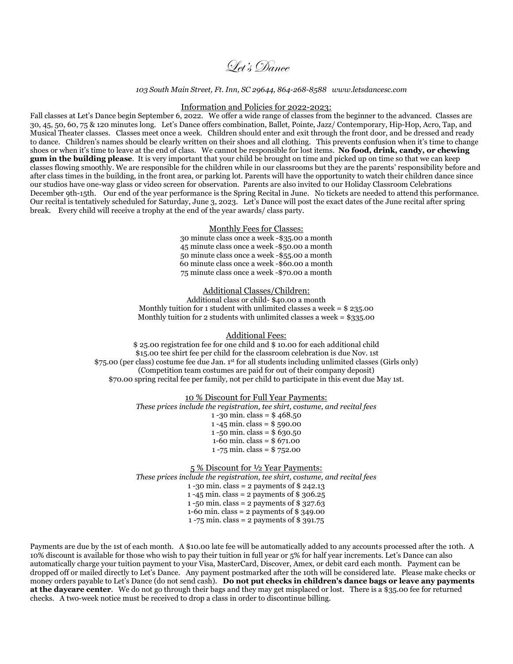Let's Dance

#### *103 South Main Street, Ft. Inn, SC 29644, 864-268-8588 www.letsdancesc.com*

#### Information and Policies for 2022-2023:

Fall classes at Let's Dance begin September 6, 2022. We offer a wide range of classes from the beginner to the advanced. Classes are 30, 45, 50, 60, 75 & 120 minutes long. Let's Dance offers combination, Ballet, Pointe, Jazz/ Contemporary, Hip-Hop, Acro, Tap, and Musical Theater classes. Classes meet once a week. Children should enter and exit through the front door, and be dressed and ready to dance. Children's names should be clearly written on their shoes and all clothing. This prevents confusion when it's time to change shoes or when it's time to leave at the end of class. We cannot be responsible for lost items. **No food, drink, candy, or chewing gum in the building please**. It is very important that your child be brought on time and picked up on time so that we can keep classes flowing smoothly. We are responsible for the children while in our classrooms but they are the parents' responsibility before and after class times in the building, in the front area, or parking lot. Parents will have the opportunity to watch their children dance since our studios have one-way glass or video screen for observation. Parents are also invited to our Holiday Classroom Celebrations December 9th-15th. Our end of the year performance is the Spring Recital in June. No tickets are needed to attend this performance. Our recital is tentatively scheduled for Saturday, June 3, 2023. Let's Dance will post the exact dates of the June recital after spring break. Every child will receive a trophy at the end of the year awards/ class party.

### Monthly Fees for Classes:

30 minute class once a week -\$35.00 a month 45 minute class once a week -\$50.00 a month 50 minute class once a week -\$55.00 a month 60 minute class once a week -\$60.00 a month 75 minute class once a week -\$70.00 a month

# Additional Classes/Children:

Additional class or child- \$40.00 a month Monthly tuition for 1 student with unlimited classes a week  $=$  \$ 235.00 Monthly tuition for 2 students with unlimited classes a week =  $$335.00$ 

Additional Fees:

\$ 25.00 registration fee for one child and \$ 10.00 for each additional child \$15.00 tee shirt fee per child for the classroom celebration is due Nov. 1st \$75.00 (per class) costume fee due Jan. 1st for all students including unlimited classes (Girls only) (Competition team costumes are paid for out of their company deposit) \$70.00 spring recital fee per family, not per child to participate in this event due May 1st.

### 10 % Discount for Full Year Payments:

*These prices include the registration, tee shirt, costume, and recital fees* 1 -30 min. class =  $$468.50$ 1 -45 min. class = \$ 590.00 1 -50 min. class =  $$630.50$ 1-60 min. class = \$ 671.00 1 -75 min. class = \$ 752.00 5 % Discount for ½ Year Payments:

*These prices include the registration, tee shirt, costume, and recital fees* 1 -30 min. class = 2 payments of \$ 242.13 1 -45 min. class = 2 payments of \$ 306.25 1 -50 min. class = 2 payments of \$ 327.63 1-60 min. class = 2 payments of \$ 349.00 1 -75 min. class = 2 payments of \$ 391.75

Payments are due by the 1st of each month. A \$10.00 late fee will be automatically added to any accounts processed after the 10th. A 10% discount is available for those who wish to pay their tuition in full year or 5% for half year increments. Let's Dance can also automatically charge your tuition payment to your Visa, MasterCard, Discover, Amex, or debit card each month. Payment can be dropped off or mailed directly to Let's Dance. Any payment postmarked after the 10th will be considered late. Please make checks or money orders payable to Let's Dance (do not send cash). Do not put checks in children's dance bags or leave any payments **at the daycare center**. We do not go through their bags and they may get misplaced or lost. There is a \$35.00 fee for returned checks. A two-week notice must be received to drop a class in order to discontinue billing.